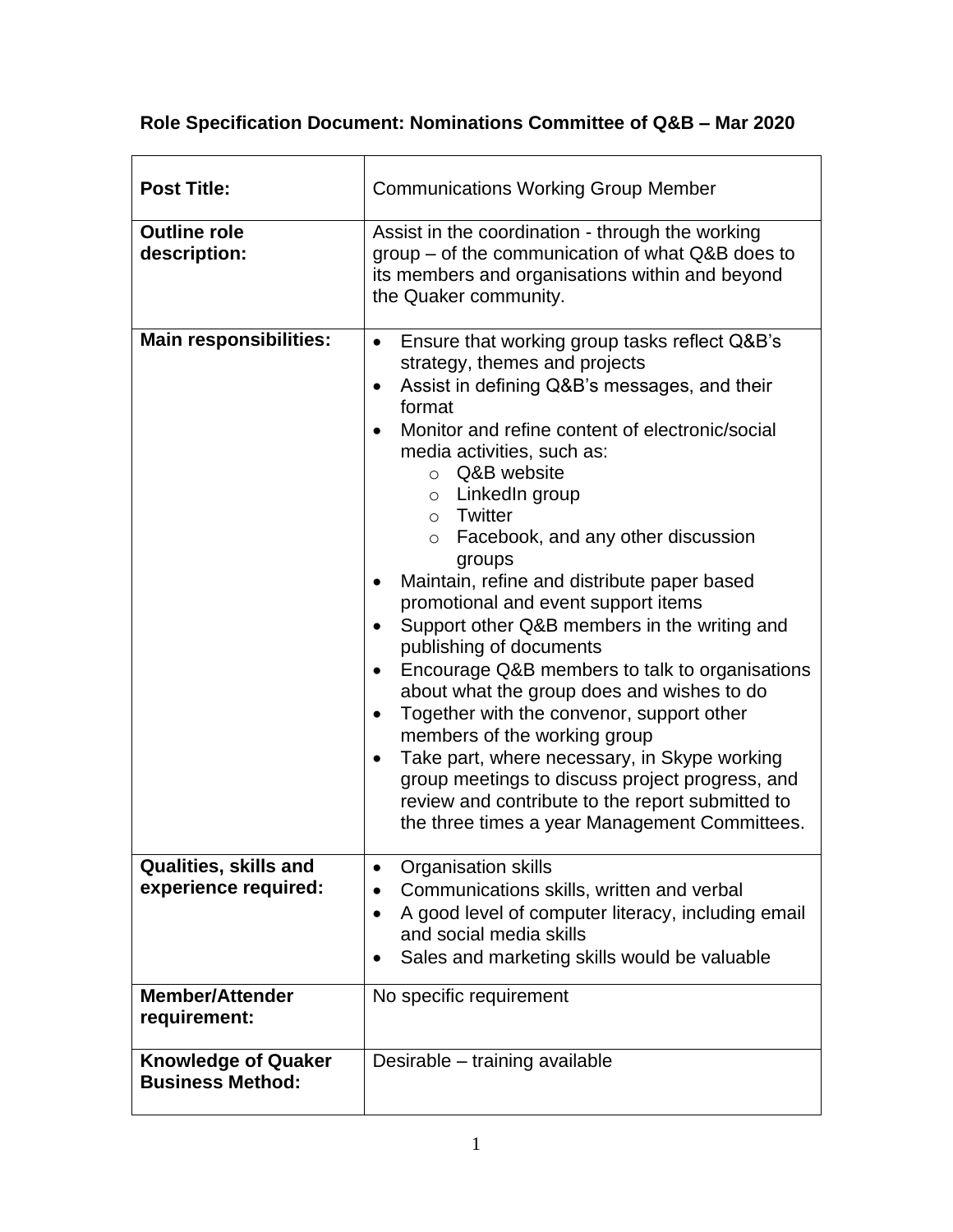|  |  | Role Specification Document: Nominations Committee of Q&B - Mar 2020 |  |
|--|--|----------------------------------------------------------------------|--|
|  |  |                                                                      |  |

| <b>Post Title:</b>                                    | <b>Communications Working Group Member</b>                                                                                                                                                                                                                                                                                                                                                                                                                                                                                                                                                                                                                                                                                                                                                                                                                                                                                                   |  |  |
|-------------------------------------------------------|----------------------------------------------------------------------------------------------------------------------------------------------------------------------------------------------------------------------------------------------------------------------------------------------------------------------------------------------------------------------------------------------------------------------------------------------------------------------------------------------------------------------------------------------------------------------------------------------------------------------------------------------------------------------------------------------------------------------------------------------------------------------------------------------------------------------------------------------------------------------------------------------------------------------------------------------|--|--|
| <b>Outline role</b><br>description:                   | Assist in the coordination - through the working<br>group – of the communication of what Q&B does to<br>its members and organisations within and beyond<br>the Quaker community.                                                                                                                                                                                                                                                                                                                                                                                                                                                                                                                                                                                                                                                                                                                                                             |  |  |
| <b>Main responsibilities:</b>                         | Ensure that working group tasks reflect Q&B's<br>$\bullet$<br>strategy, themes and projects<br>Assist in defining Q&B's messages, and their<br>format<br>Monitor and refine content of electronic/social<br>media activities, such as:<br>$\circ$ Q&B website<br>$\circ$ LinkedIn group<br>o Twitter<br>$\circ$ Facebook, and any other discussion<br>groups<br>Maintain, refine and distribute paper based<br>promotional and event support items<br>Support other Q&B members in the writing and<br>publishing of documents<br>Encourage Q&B members to talk to organisations<br>$\bullet$<br>about what the group does and wishes to do<br>Together with the convenor, support other<br>$\bullet$<br>members of the working group<br>Take part, where necessary, in Skype working<br>group meetings to discuss project progress, and<br>review and contribute to the report submitted to<br>the three times a year Management Committees. |  |  |
| Qualities, skills and<br>experience required:         | <b>Organisation skills</b><br>$\bullet$<br>Communications skills, written and verbal<br>A good level of computer literacy, including email<br>$\bullet$<br>and social media skills<br>Sales and marketing skills would be valuable<br>$\bullet$                                                                                                                                                                                                                                                                                                                                                                                                                                                                                                                                                                                                                                                                                              |  |  |
| <b>Member/Attender</b><br>requirement:                | No specific requirement                                                                                                                                                                                                                                                                                                                                                                                                                                                                                                                                                                                                                                                                                                                                                                                                                                                                                                                      |  |  |
| <b>Knowledge of Quaker</b><br><b>Business Method:</b> | Desirable - training available                                                                                                                                                                                                                                                                                                                                                                                                                                                                                                                                                                                                                                                                                                                                                                                                                                                                                                               |  |  |